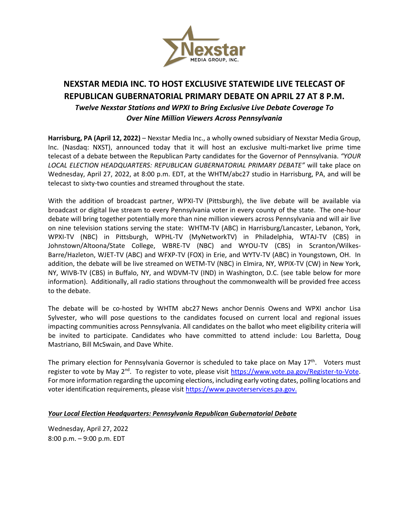

## **NEXSTAR MEDIA INC. TO HOST EXCLUSIVE STATEWIDE LIVE TELECAST OF REPUBLICAN GUBERNATORIAL PRIMARY DEBATE ON APRIL 27 AT 8 P.M.** *Twelve Nexstar Stations and WPXI to Bring Exclusive Live Debate Coverage To Over Nine Million Viewers Across Pennsylvania*

**Harrisburg, PA (April 12, 2022)** – Nexstar Media Inc., a wholly owned subsidiary of Nexstar Media Group, Inc. (Nasdaq: NXST), announced today that it will host an exclusive multi-market live prime time telecast of a debate between the Republican Party candidates for the Governor of Pennsylvania. *"YOUR LOCAL ELECTION HEADQUARTERS: REPUBLICAN GUBERNATORIAL PRIMARY DEBATE"* will take place on Wednesday, April 27, 2022, at 8:00 p.m. EDT, at the WHTM/abc27 studio in Harrisburg, PA, and will be telecast to sixty-two counties and streamed throughout the state.

With the addition of broadcast partner, WPXI-TV (Pittsburgh), the live debate will be available via broadcast or digital live stream to every Pennsylvania voter in every county of the state. The one-hour debate will bring together potentially more than nine million viewers across Pennsylvania and will air live on nine television stations serving the state: WHTM-TV (ABC) in Harrisburg/Lancaster, Lebanon, York, WPXI-TV (NBC) in Pittsburgh, WPHL-TV (MyNetworkTV) in Philadelphia, WTAJ-TV (CBS) in Johnstown/Altoona/State College, WBRE-TV (NBC) and WYOU-TV (CBS) in Scranton/Wilkes-Barre/Hazleton, WJET-TV (ABC) and WFXP-TV (FOX) in Erie, and WYTV-TV (ABC) in Youngstown, OH. In addition, the debate will be live streamed on WETM-TV (NBC) in Elmira, NY, WPIX-TV (CW) in New York, NY, WIVB-TV (CBS) in Buffalo, NY, and WDVM-TV (IND) in Washington, D.C. (see table below for more information). Additionally, all radio stations throughout the commonwealth will be provided free access to the debate.

The debate will be co-hosted by WHTM abc27 News anchor Dennis Owens and WPXI anchor Lisa Sylvester, who will pose questions to the candidates focused on current local and regional issues impacting communities across Pennsylvania. All candidates on the ballot who meet eligibility criteria will be invited to participate. Candidates who have committed to attend include: Lou Barletta, Doug Mastriano, Bill McSwain, and Dave White.

The primary election for Pennsylvania Governor is scheduled to take place on May 17<sup>th</sup>. Voters must register to vote by May 2<sup>nd</sup>. To register to vote, please visit [https://www.vote.pa.gov/Register-to-Vote.](https://www.vote.pa.gov/Register-to-Vote) For more information regarding the upcoming elections, including early voting dates, polling locations and voter identification requirements, please visit [https://www.pavoterservices.pa.gov.](https://www.pavoterservices.pa.gov/)

## *Your Local Election Headquarters: Pennsylvania Republican Gubernatorial Debate*

Wednesday, April 27, 2022 8:00 p.m. – 9:00 p.m. EDT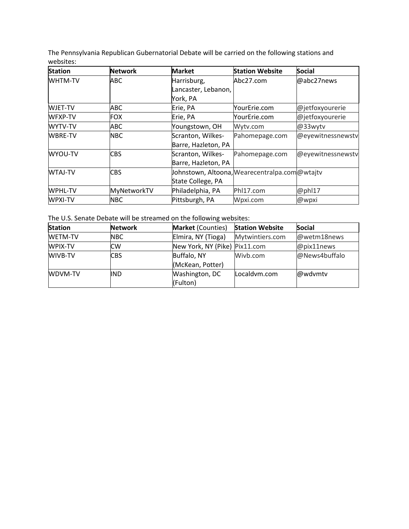The Pennsylvania Republican Gubernatorial Debate will be carried on the following stations and websites:

| <b>Station</b> | <b>Network</b> | <b>Market</b>       | <b>Station Website</b>                          | <b>Social</b>     |
|----------------|----------------|---------------------|-------------------------------------------------|-------------------|
| <b>WHTM-TV</b> | ABC            | Harrisburg,         | Abc27.com                                       | @abc27news        |
|                |                | Lancaster, Lebanon, |                                                 |                   |
|                |                | York, PA            |                                                 |                   |
| <b>WJET-TV</b> | ABC            | Erie, PA            | <b>YourErie.com</b>                             | @jetfoxyourerie   |
| <b>WFXP-TV</b> | <b>FOX</b>     | Erie, PA            | YourErie.com                                    | @jetfoxyourerie   |
| <b>WYTV-TV</b> | <b>ABC</b>     | Youngstown, OH      | Wytv.com                                        | @33wytv           |
| <b>WBRE-TV</b> | <b>NBC</b>     | Scranton, Wilkes-   | Pahomepage.com                                  | @eyewitnessnewstv |
|                |                | Barre, Hazleton, PA |                                                 |                   |
| WYOU-TV        | <b>CBS</b>     | Scranton, Wilkes-   | Pahomepage.com                                  | @eyewitnessnewstv |
|                |                | Barre, Hazleton, PA |                                                 |                   |
| <b>WTAJ-TV</b> | <b>CBS</b>     |                     | Johnstown, Altoona, Wearecentralpa.com @ wtajtv |                   |
|                |                | State College, PA   |                                                 |                   |
| <b>WPHL-TV</b> | MyNetworkTV    | Philadelphia, PA    | Phl17.com                                       | @phl17            |
| <b>WPXI-TV</b> | <b>NBC</b>     | Pittsburgh, PA      | Wpxi.com                                        | @wpxi             |

The U.S. Senate Debate will be streamed on the following websites:

| <b>Station</b> | <b>Network</b> | <b>Market</b> (Counties)      | <b>Station Website</b> | <b>Social</b> |
|----------------|----------------|-------------------------------|------------------------|---------------|
| <b>WETM-TV</b> | NBC.           | Elmira, NY (Tioga)            | Mytwintiers.com        | @wetm18news   |
| WPIX-TV        | <b>CW</b>      | New York, NY (Pike) Pix11.com |                        | @pix11news    |
| <b>WIVB-TV</b> | <b>CBS</b>     | Buffalo, NY                   | Wivb.com               | @News4buffalo |
|                |                | (McKean, Potter)              |                        |               |
| <b>WDVM-TV</b> | <b>IND</b>     | Washington, DC                | Localdym.com           | @wdvmtv       |
|                |                | (Fulton)                      |                        |               |